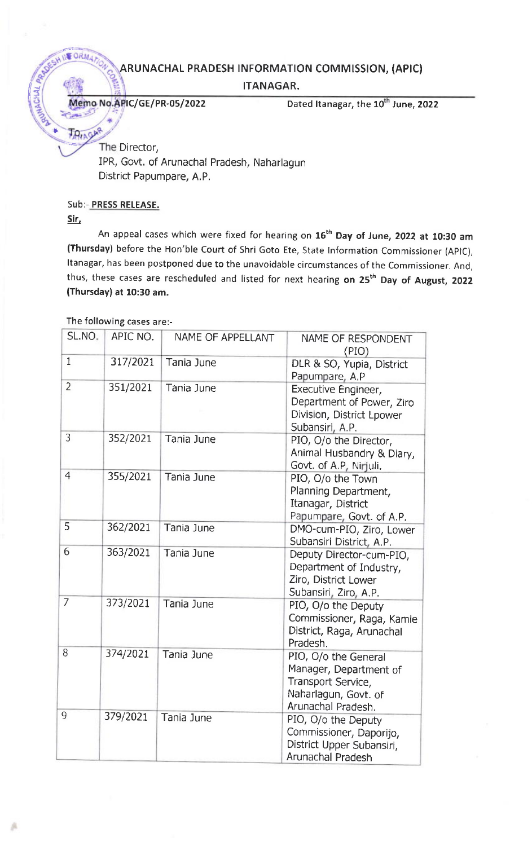## ARUNACHAL PRADESH INFORMATION COMMISSION, (APIC)

ITANAGAR.

Memo No.APIC/GE/PR-05/2022 Dated Itanagar, the 10<sup>th</sup> June, 2022

The Director, IPR, Govt. of Arunachal Pradesh, Naharlagun District Papumpare, A. P.

## Sub:- PRESS RELEASE.

Sir,

**SOR** 

TAIAGAR

{{

I

An appeal cases which were fixed for hearing on 16<sup>th</sup> Day of June, 2022 at 10:30 am (Thursday) before the Hon'ble Court of Shri Goto Ete, State lnformation Commissioner (AplC), Itanagar, has been postponed due to the unavoidable circumstances of the Commissioner. And, thus, these cases are rescheduled and listed for next hearing on 25<sup>th</sup> Day of August, 2022 (Thursday) at 10:30 am.

| SL.NO.         | APIC NO. | NAME OF APPELLANT | NAME OF RESPONDENT<br>(PIO)                                                                                        |
|----------------|----------|-------------------|--------------------------------------------------------------------------------------------------------------------|
| $\mathbf{1}$   | 317/2021 | Tania June        | DLR & SO, Yupia, District<br>Papumpare, A.P                                                                        |
| $\overline{2}$ | 351/2021 | Tania June        | Executive Engineer,<br>Department of Power, Ziro<br>Division, District Lpower<br>Subansiri, A.P.                   |
| 3              | 352/2021 | Tania June        | PIO, O/o the Director,<br>Animal Husbandry & Diary,<br>Govt. of A.P, Nirjuli.                                      |
| $\overline{4}$ | 355/2021 | Tania June        | PIO, O/o the Town<br>Planning Department,<br>Itanagar, District<br>Papumpare, Govt. of A.P.                        |
| 5              | 362/2021 | Tania June        | DMO-cum-PIO, Ziro, Lower<br>Subansiri District, A.P.                                                               |
| 6              | 363/2021 | Tania June        | Deputy Director-cum-PIO,<br>Department of Industry,<br>Ziro, District Lower<br>Subansiri, Ziro, A.P.               |
| 7              | 373/2021 | Tania June        | PIO, O/o the Deputy<br>Commissioner, Raga, Kamle<br>District, Raga, Arunachal<br>Pradesh.                          |
| 8              | 374/2021 | Tania June        | PIO, O/o the General<br>Manager, Department of<br>Transport Service,<br>Naharlagun, Govt. of<br>Arunachal Pradesh. |
| 9              | 379/2021 | Tania June        | PIO, O/o the Deputy<br>Commissioner, Daporijo,<br>District Upper Subansiri,<br>Arunachal Pradesh                   |

The following cases are:-